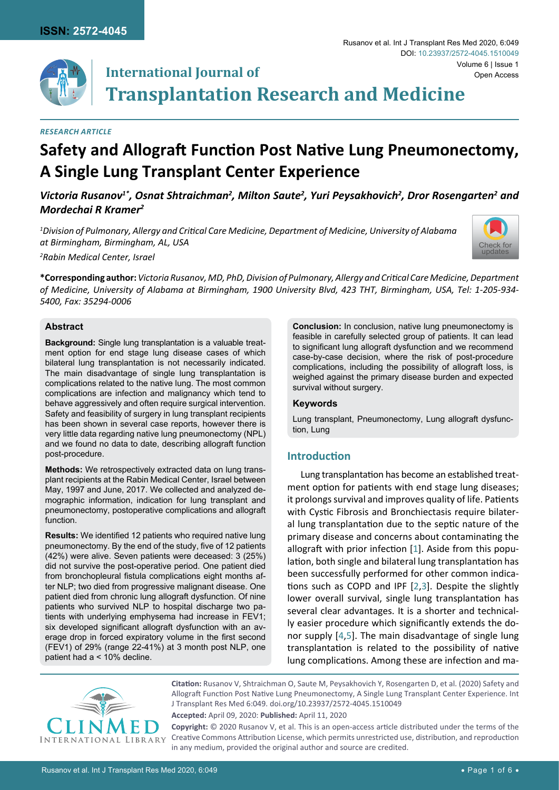

# **International Journal of Transplantation Research and Medicine**

#### *Research Article*

# **Safety and Allograft Function Post Native Lung Pneumonectomy, A Single Lung Transplant Center Experience**

Victoria Rusanov<sup>1\*</sup>, Osnat Shtraichman<sup>2</sup>, Milton Saute<sup>2</sup>, Yuri Peysakhovich<sup>2</sup>, Dror Rosengarten<sup>2</sup> and *Mordechai R Kramer2*

*1 Division of Pulmonary, Allergy and Critical Care Medicine, Department of Medicine, University of Alabama at Birmingham, Birmingham, AL, USA*



*2 Rabin Medical Center, Israel*

**\*Corresponding author:** *Victoria Rusanov, MD, PhD, Division of Pulmonary, Allergy and Critical Care Medicine, Department of Medicine, University of Alabama at Birmingham, 1900 University Blvd, 423 THT, Birmingham, USA, Tel: 1-205-934- 5400, Fax: 35294-0006*

### **Abstract**

**Background:** Single lung transplantation is a valuable treatment option for end stage lung disease cases of which bilateral lung transplantation is not necessarily indicated. The main disadvantage of single lung transplantation is complications related to the native lung. The most common complications are infection and malignancy which tend to behave aggressively and often require surgical intervention. Safety and feasibility of surgery in lung transplant recipients has been shown in several case reports, however there is very little data regarding native lung pneumonectomy (NPL) and we found no data to date, describing allograft function post-procedure.

**Methods:** We retrospectively extracted data on lung transplant recipients at the Rabin Medical Center, Israel between May, 1997 and June, 2017. We collected and analyzed demographic information, indication for lung transplant and pneumonectomy, postoperative complications and allograft function.

**Results:** We identified 12 patients who required native lung pneumonectomy. By the end of the study, five of 12 patients (42%) were alive. Seven patients were deceased: 3 (25%) did not survive the post-operative period. One patient died from bronchopleural fistula complications eight months after NLP; two died from progressive malignant disease. One patient died from chronic lung allograft dysfunction. Of nine patients who survived NLP to hospital discharge two patients with underlying emphysema had increase in FEV1; six developed significant allograft dysfunction with an average drop in forced expiratory volume in the first second (FEV1) of 29% (range 22-41%) at 3 month post NLP, one patient had a < 10% decline.

**Conclusion:** In conclusion, native lung pneumonectomy is feasible in carefully selected group of patients. It can lead to significant lung allograft dysfunction and we recommend case-by-case decision, where the risk of post-procedure complications, including the possibility of allograft loss, is weighed against the primary disease burden and expected survival without surgery.

#### **Keywords**

Lung transplant, Pneumonectomy, Lung allograft dysfunction, Lung

# **Introduction**

Lung transplantation has become an established treatment option for patients with end stage lung diseases; it prolongs survival and improves quality of life. Patients with Cystic Fibrosis and Bronchiectasis require bilateral lung transplantation due to the septic nature of the primary disease and concerns about contaminating the allograft with prior infection [[1](#page-5-0)]. Aside from this population, both single and bilateral lung transplantation has been successfully performed for other common indications such as COPD and IPF [[2](#page-5-1)[,3](#page-5-2)]. Despite the slightly lower overall survival, single lung transplantation has several clear advantages. It is a shorter and technically easier procedure which significantly extends the donor supply [[4](#page-5-3),[5\]](#page-5-4). The main disadvantage of single lung transplantation is related to the possibility of native lung complications. Among these are infection and ma-



**Citation:** Rusanov V, Shtraichman O, Saute M, Peysakhovich Y, Rosengarten D, et al. (2020) Safety and Allograft Function Post Native Lung Pneumonectomy, A Single Lung Transplant Center Experience. Int J Transplant Res Med 6:049. [doi.org/10.23937/2572-4045.1510049](https://doi.org/10.23937/2572-4045.1510049)

**Accepted:** April 09, 2020: **Published:** April 11, 2020

**Copyright:** © 2020 Rusanov V, et al. This is an open-access article distributed under the terms of the Creative Commons Attribution License, which permits unrestricted use, distribution, and reproduction in any medium, provided the original author and source are credited.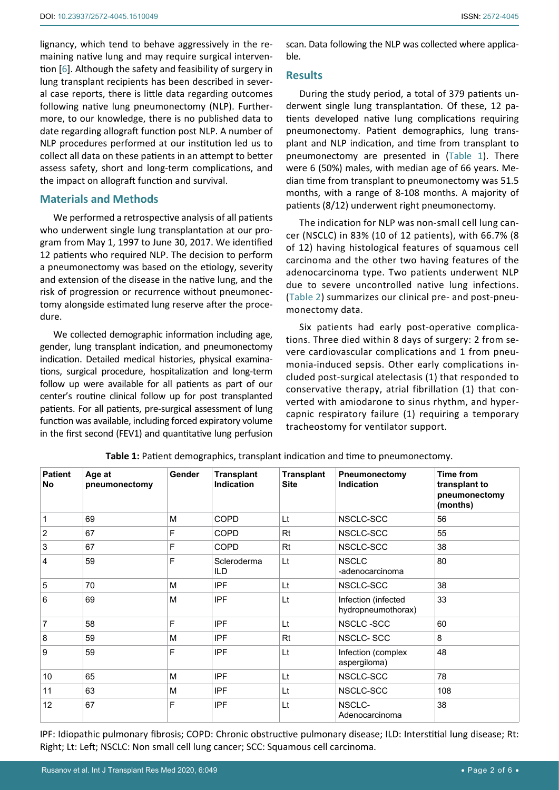lignancy, which tend to behave aggressively in the remaining native lung and may require surgical intervention [\[6\]](#page-5-5). Although the safety and feasibility of surgery in lung transplant recipients has been described in several case reports, there is little data regarding outcomes following native lung pneumonectomy (NLP). Furthermore, to our knowledge, there is no published data to date regarding allograft function post NLP. A number of NLP procedures performed at our institution led us to collect all data on these patients in an attempt to better assess safety, short and long-term complications, and the impact on allograft function and survival.

## **Materials and Methods**

We performed a retrospective analysis of all patients who underwent single lung transplantation at our program from May 1, 1997 to June 30, 2017. We identified 12 patients who required NLP. The decision to perform a pneumonectomy was based on the etiology, severity and extension of the disease in the native lung, and the risk of progression or recurrence without pneumonectomy alongside estimated lung reserve after the procedure.

We collected demographic information including age, gender, lung transplant indication, and pneumonectomy indication. Detailed medical histories, physical examinations, surgical procedure, hospitalization and long-term follow up were available for all patients as part of our center's routine clinical follow up for post transplanted patients. For all patients, pre-surgical assessment of lung function was available, including forced expiratory volume in the first second (FEV1) and quantitative lung perfusion scan. Data following the NLP was collected where applicable.

#### **Results**

During the study period, a total of 379 patients underwent single lung transplantation. Of these, 12 patients developed native lung complications requiring pneumonectomy. Patient demographics, lung transplant and NLP indication, and time from transplant to pneumonectomy are presented in [\(Table 1](#page-1-0)). There were 6 (50%) males, with median age of 66 years. Median time from transplant to pneumonectomy was 51.5 months, with a range of 8-108 months. A majority of patients (8/12) underwent right pneumonectomy.

The indication for NLP was non-small cell lung cancer (NSCLC) in 83% (10 of 12 patients), with 66.7% (8 of 12) having histological features of squamous cell carcinoma and the other two having features of the adenocarcinoma type. Two patients underwent NLP due to severe uncontrolled native lung infections. ([Table 2](#page-2-0)) summarizes our clinical pre- and post-pneumonectomy data.

Six patients had early post-operative complications. Three died within 8 days of surgery: 2 from severe cardiovascular complications and 1 from pneumonia-induced sepsis. Other early complications included post-surgical atelectasis (1) that responded to conservative therapy, atrial fibrillation (1) that converted with amiodarone to sinus rhythm, and hypercapnic respiratory failure (1) requiring a temporary tracheostomy for ventilator support.

| <b>Patient</b><br>No | Age at<br>pneumonectomy | Gender | <b>Transplant</b><br>Indication | <b>Transplant</b><br><b>Site</b> | Pneumonectomy<br><b>Indication</b>        | Time from<br>transplant to<br>pneumonectomy<br>(months) |
|----------------------|-------------------------|--------|---------------------------------|----------------------------------|-------------------------------------------|---------------------------------------------------------|
| 1                    | 69                      | M      | COPD                            | Lt                               | NSCLC-SCC                                 | 56                                                      |
| $\overline{2}$       | 67                      | F      | <b>COPD</b>                     | Rt                               | NSCLC-SCC                                 | 55                                                      |
| 3                    | 67                      | F      | <b>COPD</b>                     | Rt                               | NSCLC-SCC                                 | 38                                                      |
| 4                    | 59                      | E      | Scleroderma<br>ILD              | Lt                               | <b>NSCLC</b><br>-adenocarcinoma           | 80                                                      |
| 5                    | 70                      | M      | <b>IPF</b>                      | Lt                               | NSCLC-SCC                                 | 38                                                      |
| 6                    | 69                      | M      | <b>IPF</b>                      | Lt                               | Infection (infected<br>hydropneumothorax) | 33                                                      |
| $\overline{7}$       | 58                      | F      | <b>IPF</b>                      | Lt                               | NSCLC-SCC                                 | 60                                                      |
| 8                    | 59                      | M      | <b>IPF</b>                      | Rt                               | NSCLC-SCC                                 | 8                                                       |
| 9                    | 59                      | F      | <b>IPF</b>                      | Lt                               | Infection (complex<br>aspergiloma)        | 48                                                      |
| 10                   | 65                      | M      | <b>IPF</b>                      | Lt                               | NSCLC-SCC                                 | 78                                                      |
| 11                   | 63                      | M      | <b>IPF</b>                      | Lt                               | NSCLC-SCC                                 | 108                                                     |
| 12                   | 67                      | F      | <b>IPF</b>                      | Lt                               | NSCLC-<br>Adenocarcinoma                  | 38                                                      |

<span id="page-1-0"></span>**Table 1:** Patient demographics, transplant indication and time to pneumonectomy.

IPF: Idiopathic pulmonary fibrosis; COPD: Chronic obstructive pulmonary disease; ILD: Interstitial lung disease; Rt: Right; Lt: Left; NSCLC: Non small cell lung cancer; SCC: Squamous cell carcinoma.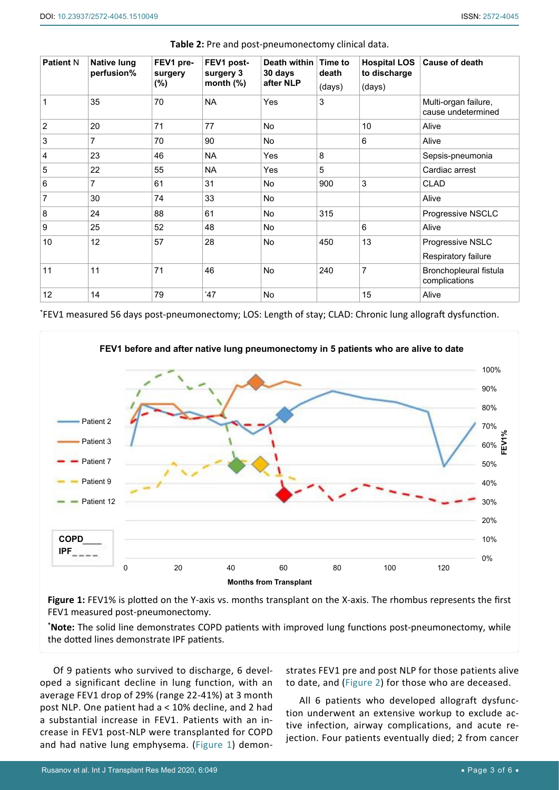| <b>Patient N</b> | <b>Native lung</b><br>perfusion% | FEV1 pre-<br>surgery<br>$(\%)$ | FEV1 post-<br>surgery 3<br>month $(\%)$ | Death within<br>30 days<br>after NLP | Time to<br>death<br>(days) | <b>Hospital LOS</b><br>to discharge<br>(days) | <b>Cause of death</b>                      |
|------------------|----------------------------------|--------------------------------|-----------------------------------------|--------------------------------------|----------------------------|-----------------------------------------------|--------------------------------------------|
| 1                | 35                               | 70                             | <b>NA</b>                               | Yes                                  | 3                          |                                               | Multi-organ failure,<br>cause undetermined |
| $\overline{2}$   | 20                               | 71                             | 77                                      | <b>No</b>                            |                            | 10                                            | Alive                                      |
| 3                | 7                                | 70                             | 90                                      | <b>No</b>                            |                            | 6                                             | Alive                                      |
| $\overline{4}$   | 23                               | 46                             | <b>NA</b>                               | Yes                                  | 8                          |                                               | Sepsis-pneumonia                           |
| 5                | 22                               | 55                             | <b>NA</b>                               | Yes                                  | 5                          |                                               | Cardiac arrest                             |
| 6                | 7                                | 61                             | 31                                      | No                                   | 900                        | 3                                             | <b>CLAD</b>                                |
| 7                | 30                               | 74                             | 33                                      | <b>No</b>                            |                            |                                               | Alive                                      |
| 8                | 24                               | 88                             | 61                                      | <b>No</b>                            | 315                        |                                               | Progressive NSCLC                          |
| 9                | 25                               | 52                             | 48                                      | No                                   |                            | 6                                             | Alive                                      |
| 10               | 12                               | 57                             | 28                                      | <b>No</b>                            | 450                        | 13                                            | Progressive NSLC                           |
|                  |                                  |                                |                                         |                                      |                            |                                               | Respiratory failure                        |
| 11               | 11                               | 71                             | 46                                      | <b>No</b>                            | 240                        | $\overline{7}$                                | Bronchopleural fistula<br>complications    |
| 12               | 14                               | 79                             | *47                                     | <b>No</b>                            |                            | 15                                            | Alive                                      |

<span id="page-2-0"></span>**Table 2:** Pre and post-pneumonectomy clinical data.

\* FEV1 measured 56 days post-pneumonectomy; LOS: Length of stay; CLAD: Chronic lung allograft dysfunction.

<span id="page-2-1"></span>

Figure 1: FEV1% is plotted on the Y-axis vs. months transplant on the X-axis. The rhombus represents the first FEV1 measured post-pneumonectomy.

**\* Note:** The solid line demonstrates COPD patients with improved lung functions post-pneumonectomy, while the dotted lines demonstrate IPF patients.

Of 9 patients who survived to discharge, 6 developed a significant decline in lung function, with an average FEV1 drop of 29% (range 22-41%) at 3 month post NLP. One patient had a < 10% decline, and 2 had a substantial increase in FEV1. Patients with an increase in FEV1 post-NLP were transplanted for COPD and had native lung emphysema. [\(Figure 1](#page-2-1)) demonstrates FEV1 pre and post NLP for those patients alive to date, and ([Figure 2\)](#page-3-0) for those who are deceased.

All 6 patients who developed allograft dysfunction underwent an extensive workup to exclude active infection, airway complications, and acute rejection. Four patients eventually died; 2 from cancer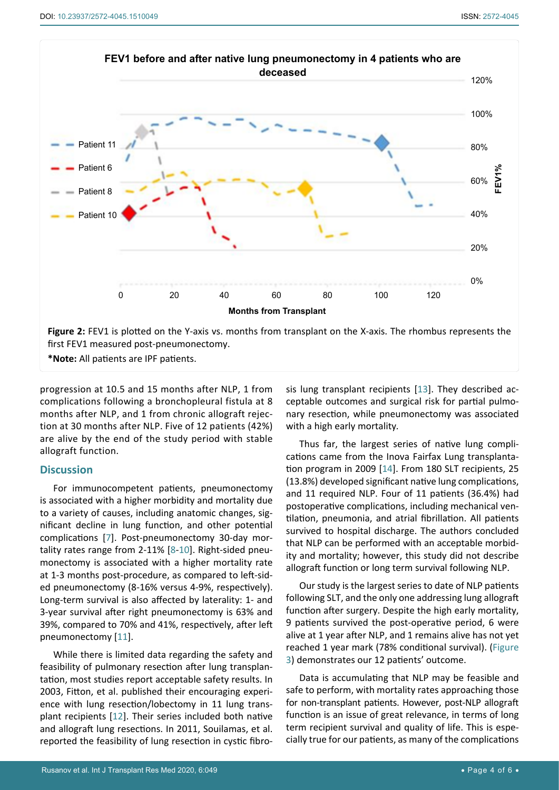<span id="page-3-0"></span>

**\*Note:** All patients are IPF patients.

progression at 10.5 and 15 months after NLP, 1 from complications following a bronchopleural fistula at 8 months after NLP, and 1 from chronic allograft rejection at 30 months after NLP. Five of 12 patients (42%) are alive by the end of the study period with stable allograft function.

## **Discussion**

For immunocompetent patients, pneumonectomy is associated with a higher morbidity and mortality due to a variety of causes, including anatomic changes, significant decline in lung function, and other potential complications [[7](#page-5-8)]. Post-pneumonectomy 30-day mortality rates range from 2-11% [[8](#page-5-9)-[10](#page-5-10)]. Right-sided pneumonectomy is associated with a higher mortality rate at 1-3 months post-procedure, as compared to left-sided pneumonectomy (8-16% versus 4-9%, respectively). Long-term survival is also affected by laterality: 1- and 3-year survival after right pneumonectomy is 63% and 39%, compared to 70% and 41%, respectively, after left pneumonectomy [[11](#page-5-11)].

While there is limited data regarding the safety and feasibility of pulmonary resection after lung transplantation, most studies report acceptable safety results. In 2003, Fitton, et al. published their encouraging experience with lung resection/lobectomy in 11 lung transplant recipients [[12](#page-5-12)]. Their series included both native and allograft lung resections. In 2011, Souilamas, et al. reported the feasibility of lung resection in cystic fibrosis lung transplant recipients [[13](#page-5-6)]. They described acceptable outcomes and surgical risk for partial pulmonary resection, while pneumonectomy was associated with a high early mortality*.*

Thus far, the largest series of native lung complications came from the Inova Fairfax Lung transplantation program in 2009 [\[14](#page-5-7)]. From 180 SLT recipients, 25 (13.8%) developed significant native lung complications, and 11 required NLP. Four of 11 patients (36.4%) had postoperative complications, including mechanical ventilation, pneumonia, and atrial fibrillation. All patients survived to hospital discharge. The authors concluded that NLP can be performed with an acceptable morbidity and mortality; however, this study did not describe allograft function or long term survival following NLP.

Our study is the largest series to date of NLP patients following SLT, and the only one addressing lung allograft function after surgery. Despite the high early mortality, 9 patients survived the post-operative period, 6 were alive at 1 year after NLP, and 1 remains alive has not yet reached 1 year mark (78% conditional survival). ([Figure](#page-4-0)  [3](#page-4-0)) demonstrates our 12 patients' outcome.

Data is accumulating that NLP may be feasible and safe to perform, with mortality rates approaching those for non-transplant patients. However, post-NLP allograft function is an issue of great relevance, in terms of long term recipient survival and quality of life. This is especially true for our patients, as many of the complications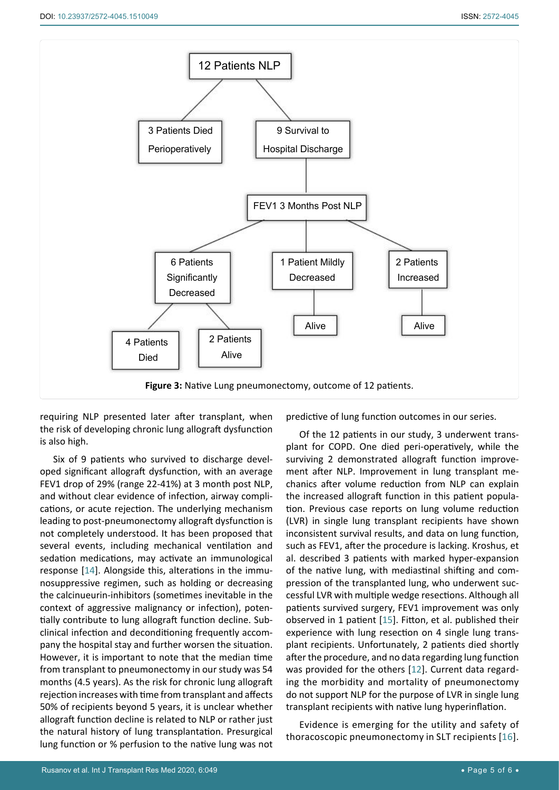<span id="page-4-0"></span>

requiring NLP presented later after transplant, when the risk of developing chronic lung allograft dysfunction is also high.

Six of 9 patients who survived to discharge developed significant allograft dysfunction, with an average FEV1 drop of 29% (range 22-41%) at 3 month post NLP, and without clear evidence of infection, airway complications, or acute rejection. The underlying mechanism leading to post-pneumonectomy allograft dysfunction is not completely understood. It has been proposed that several events, including mechanical ventilation and sedation medications, may activate an immunological response [[14](#page-5-7)]. Alongside this, alterations in the immunosuppressive regimen, such as holding or decreasing the calcinueurin-inhibitors (sometimes inevitable in the context of aggressive malignancy or infection), potentially contribute to lung allograft function decline. Subclinical infection and deconditioning frequently accompany the hospital stay and further worsen the situation. However, it is important to note that the median time from transplant to pneumonectomy in our study was 54 months (4.5 years). As the risk for chronic lung allograft rejection increases with time from transplant and affects 50% of recipients beyond 5 years, it is unclear whether allograft function decline is related to NLP or rather just the natural history of lung transplantation. Presurgical lung function or % perfusion to the native lung was not predictive of lung function outcomes in our series.

Of the 12 patients in our study, 3 underwent transplant for COPD. One died peri-operatively, while the surviving 2 demonstrated allograft function improvement after NLP. Improvement in lung transplant mechanics after volume reduction from NLP can explain the increased allograft function in this patient population. Previous case reports on lung volume reduction (LVR) in single lung transplant recipients have shown inconsistent survival results, and data on lung function, such as FEV1, after the procedure is lacking. Kroshus, et al. described 3 patients with marked hyper-expansion of the native lung, with mediastinal shifting and compression of the transplanted lung, who underwent successful LVR with multiple wedge resections. Although all patients survived surgery, FEV1 improvement was only observed in 1 patient [\[15](#page-5-13)]. Fitton, et al. published their experience with lung resection on 4 single lung transplant recipients. Unfortunately, 2 patients died shortly after the procedure, and no data regarding lung function was provided for the others [[12](#page-5-12)]. Current data regarding the morbidity and mortality of pneumonectomy do not support NLP for the purpose of LVR in single lung transplant recipients with native lung hyperinflation.

Evidence is emerging for the utility and safety of thoracoscopic pneumonectomy in SLT recipients [[16](#page-5-14)].